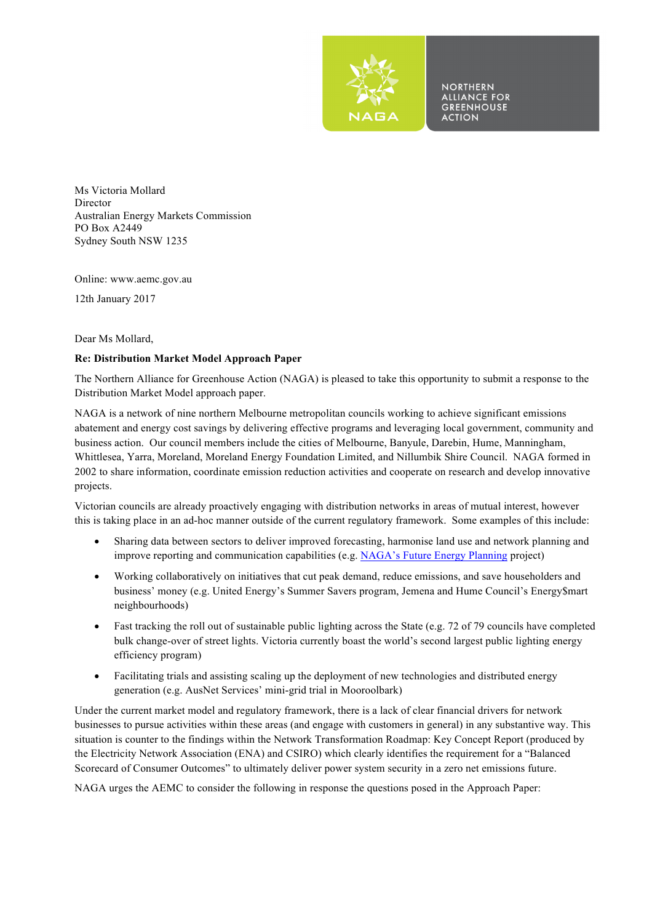

**NORTHERN ALLIANCE FOR GREENHOUSE ACTION** 

Ms Victoria Mollard Director Australian Energy Markets Commission PO Box A2449 Sydney South NSW 1235

Online: www.aemc.gov.au

12th January 2017

Dear Ms Mollard,

## **Re: Distribution Market Model Approach Paper**

The Northern Alliance for Greenhouse Action (NAGA) is pleased to take this opportunity to submit a response to the Distribution Market Model approach paper.

NAGA is a network of nine northern Melbourne metropolitan councils working to achieve significant emissions abatement and energy cost savings by delivering effective programs and leveraging local government, community and business action. Our council members include the cities of Melbourne, Banyule, Darebin, Hume, Manningham, Whittlesea, Yarra, Moreland, Moreland Energy Foundation Limited, and Nillumbik Shire Council. NAGA formed in 2002 to share information, coordinate emission reduction activities and cooperate on research and develop innovative projects.

Victorian councils are already proactively engaging with distribution networks in areas of mutual interest, however this is taking place in an ad-hoc manner outside of the current regulatory framework. Some examples of this include:

- Sharing data between sectors to deliver improved forecasting, harmonise land use and network planning and improve reporting and communication capabilities (e.g. NAGA's Future Energy Planning project)
- Working collaboratively on initiatives that cut peak demand, reduce emissions, and save householders and business' money (e.g. United Energy's Summer Savers program, Jemena and Hume Council's Energy\$mart neighbourhoods)
- Fast tracking the roll out of sustainable public lighting across the State (e.g. 72 of 79 councils have completed bulk change-over of street lights. Victoria currently boast the world's second largest public lighting energy efficiency program)
- Facilitating trials and assisting scaling up the deployment of new technologies and distributed energy generation (e.g. AusNet Services' mini-grid trial in Mooroolbark)

Under the current market model and regulatory framework, there is a lack of clear financial drivers for network businesses to pursue activities within these areas (and engage with customers in general) in any substantive way. This situation is counter to the findings within the Network Transformation Roadmap: Key Concept Report (produced by the Electricity Network Association (ENA) and CSIRO) which clearly identifies the requirement for a "Balanced Scorecard of Consumer Outcomes" to ultimately deliver power system security in a zero net emissions future.

NAGA urges the AEMC to consider the following in response the questions posed in the Approach Paper: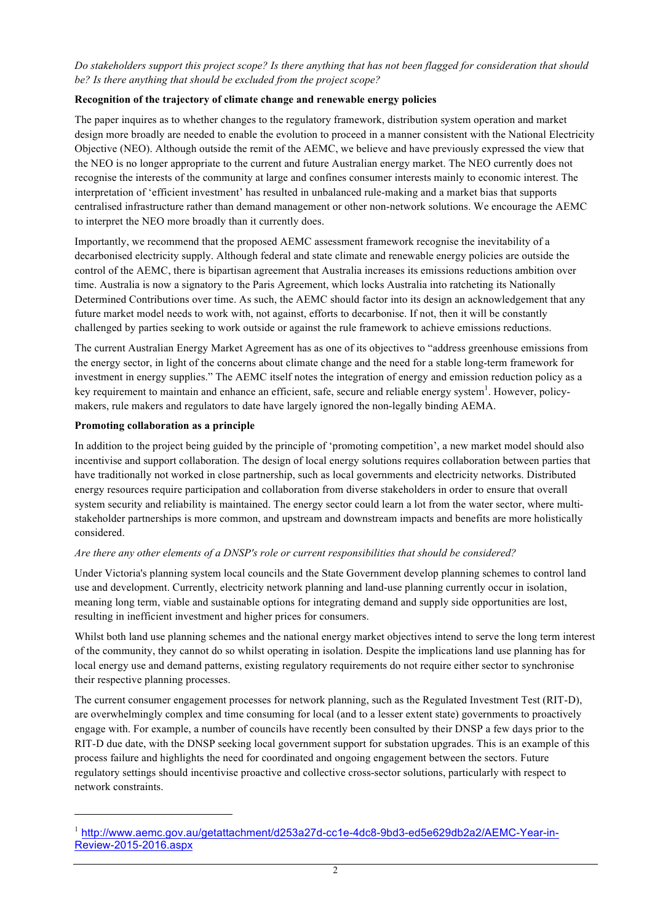*Do stakeholders support this project scope? Is there anything that has not been flagged for consideration that should be? Is there anything that should be excluded from the project scope?*

## **Recognition of the trajectory of climate change and renewable energy policies**

The paper inquires as to whether changes to the regulatory framework, distribution system operation and market design more broadly are needed to enable the evolution to proceed in a manner consistent with the National Electricity Objective (NEO). Although outside the remit of the AEMC, we believe and have previously expressed the view that the NEO is no longer appropriate to the current and future Australian energy market. The NEO currently does not recognise the interests of the community at large and confines consumer interests mainly to economic interest. The interpretation of 'efficient investment' has resulted in unbalanced rule-making and a market bias that supports centralised infrastructure rather than demand management or other non-network solutions. We encourage the AEMC to interpret the NEO more broadly than it currently does.

Importantly, we recommend that the proposed AEMC assessment framework recognise the inevitability of a decarbonised electricity supply. Although federal and state climate and renewable energy policies are outside the control of the AEMC, there is bipartisan agreement that Australia increases its emissions reductions ambition over time. Australia is now a signatory to the Paris Agreement, which locks Australia into ratcheting its Nationally Determined Contributions over time. As such, the AEMC should factor into its design an acknowledgement that any future market model needs to work with, not against, efforts to decarbonise. If not, then it will be constantly challenged by parties seeking to work outside or against the rule framework to achieve emissions reductions.

The current Australian Energy Market Agreement has as one of its objectives to "address greenhouse emissions from the energy sector, in light of the concerns about climate change and the need for a stable long-term framework for investment in energy supplies." The AEMC itself notes the integration of energy and emission reduction policy as a key requirement to maintain and enhance an efficient, safe, secure and reliable energy system<sup>1</sup>. However, policymakers, rule makers and regulators to date have largely ignored the non-legally binding AEMA.

## **Promoting collaboration as a principle**

 $\overline{a}$ 

In addition to the project being guided by the principle of 'promoting competition', a new market model should also incentivise and support collaboration. The design of local energy solutions requires collaboration between parties that have traditionally not worked in close partnership, such as local governments and electricity networks. Distributed energy resources require participation and collaboration from diverse stakeholders in order to ensure that overall system security and reliability is maintained. The energy sector could learn a lot from the water sector, where multistakeholder partnerships is more common, and upstream and downstream impacts and benefits are more holistically considered.

## *Are there any other elements of a DNSP's role or current responsibilities that should be considered?*

Under Victoria's planning system local councils and the State Government develop planning schemes to control land use and development. Currently, electricity network planning and land-use planning currently occur in isolation, meaning long term, viable and sustainable options for integrating demand and supply side opportunities are lost, resulting in inefficient investment and higher prices for consumers.

Whilst both land use planning schemes and the national energy market objectives intend to serve the long term interest of the community, they cannot do so whilst operating in isolation. Despite the implications land use planning has for local energy use and demand patterns, existing regulatory requirements do not require either sector to synchronise their respective planning processes.

The current consumer engagement processes for network planning, such as the Regulated Investment Test (RIT-D), are overwhelmingly complex and time consuming for local (and to a lesser extent state) governments to proactively engage with. For example, a number of councils have recently been consulted by their DNSP a few days prior to the RIT-D due date, with the DNSP seeking local government support for substation upgrades. This is an example of this process failure and highlights the need for coordinated and ongoing engagement between the sectors. Future regulatory settings should incentivise proactive and collective cross-sector solutions, particularly with respect to network constraints.

<sup>1</sup> http://www.aemc.gov.au/getattachment/d253a27d-cc1e-4dc8-9bd3-ed5e629db2a2/AEMC-Year-in-Review-2015-2016.aspx